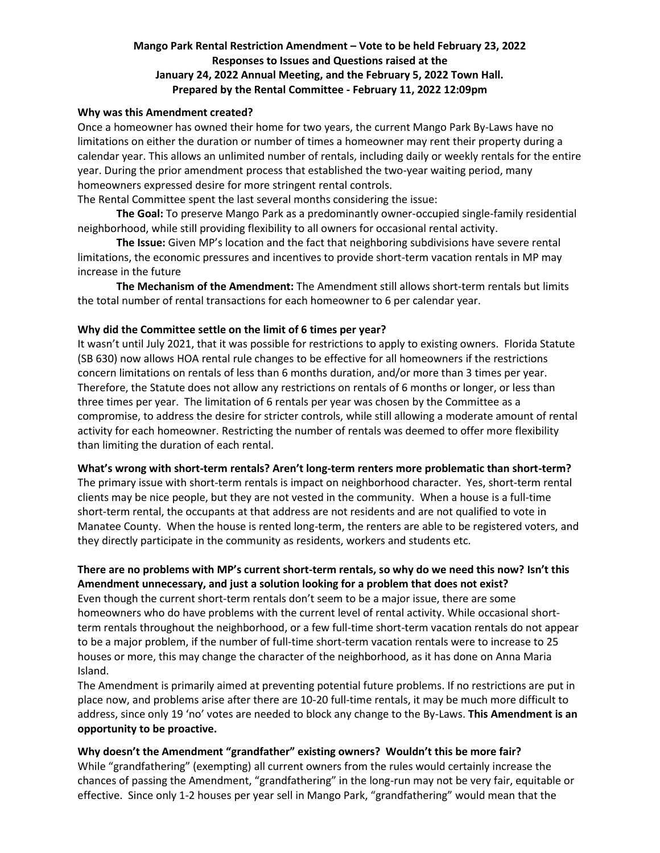# **Mango Park Rental Restriction Amendment – Vote to be held February 23, 2022 Responses to Issues and Questions raised at the January 24, 2022 Annual Meeting, and the February 5, 2022 Town Hall. Prepared by the Rental Committee - February 11, 2022 12:09pm**

### **Why was this Amendment created?**

Once a homeowner has owned their home for two years, the current Mango Park By-Laws have no limitations on either the duration or number of times a homeowner may rent their property during a calendar year. This allows an unlimited number of rentals, including daily or weekly rentals for the entire year. During the prior amendment process that established the two-year waiting period, many homeowners expressed desire for more stringent rental controls.

The Rental Committee spent the last several months considering the issue:

**The Goal:** To preserve Mango Park as a predominantly owner-occupied single-family residential neighborhood, while still providing flexibility to all owners for occasional rental activity.

**The Issue:** Given MP's location and the fact that neighboring subdivisions have severe rental limitations, the economic pressures and incentives to provide short-term vacation rentals in MP may increase in the future

**The Mechanism of the Amendment:** The Amendment still allows short-term rentals but limits the total number of rental transactions for each homeowner to 6 per calendar year.

## **Why did the Committee settle on the limit of 6 times per year?**

It wasn't until July 2021, that it was possible for restrictions to apply to existing owners. Florida Statute (SB 630) now allows HOA rental rule changes to be effective for all homeowners if the restrictions concern limitations on rentals of less than 6 months duration, and/or more than 3 times per year. Therefore, the Statute does not allow any restrictions on rentals of 6 months or longer, or less than three times per year. The limitation of 6 rentals per year was chosen by the Committee as a compromise, to address the desire for stricter controls, while still allowing a moderate amount of rental activity for each homeowner. Restricting the number of rentals was deemed to offer more flexibility than limiting the duration of each rental.

#### **What's wrong with short-term rentals? Aren't long-term renters more problematic than short-term?**

The primary issue with short-term rentals is impact on neighborhood character. Yes, short-term rental clients may be nice people, but they are not vested in the community. When a house is a full-time short-term rental, the occupants at that address are not residents and are not qualified to vote in Manatee County. When the house is rented long-term, the renters are able to be registered voters, and they directly participate in the community as residents, workers and students etc.

# **There are no problems with MP's current short-term rentals, so why do we need this now? Isn't this Amendment unnecessary, and just a solution looking for a problem that does not exist?**

Even though the current short-term rentals don't seem to be a major issue, there are some homeowners who do have problems with the current level of rental activity. While occasional shortterm rentals throughout the neighborhood, or a few full-time short-term vacation rentals do not appear to be a major problem, if the number of full-time short-term vacation rentals were to increase to 25 houses or more, this may change the character of the neighborhood, as it has done on Anna Maria Island.

The Amendment is primarily aimed at preventing potential future problems. If no restrictions are put in place now, and problems arise after there are 10-20 full-time rentals, it may be much more difficult to address, since only 19 'no' votes are needed to block any change to the By-Laws. **This Amendment is an opportunity to be proactive.**

**Why doesn't the Amendment "grandfather" existing owners? Wouldn't this be more fair?** While "grandfathering" (exempting) all current owners from the rules would certainly increase the chances of passing the Amendment, "grandfathering" in the long-run may not be very fair, equitable or effective. Since only 1-2 houses per year sell in Mango Park, "grandfathering" would mean that the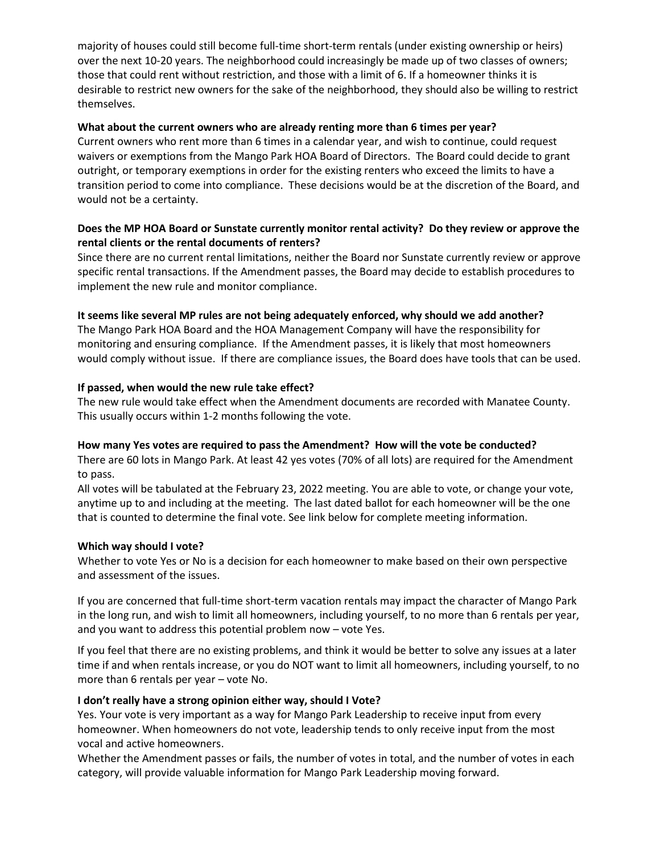majority of houses could still become full-time short-term rentals (under existing ownership or heirs) over the next 10-20 years. The neighborhood could increasingly be made up of two classes of owners; those that could rent without restriction, and those with a limit of 6. If a homeowner thinks it is desirable to restrict new owners for the sake of the neighborhood, they should also be willing to restrict themselves.

## **What about the current owners who are already renting more than 6 times per year?**

Current owners who rent more than 6 times in a calendar year, and wish to continue, could request waivers or exemptions from the Mango Park HOA Board of Directors. The Board could decide to grant outright, or temporary exemptions in order for the existing renters who exceed the limits to have a transition period to come into compliance. These decisions would be at the discretion of the Board, and would not be a certainty.

# **Does the MP HOA Board or Sunstate currently monitor rental activity? Do they review or approve the rental clients or the rental documents of renters?**

Since there are no current rental limitations, neither the Board nor Sunstate currently review or approve specific rental transactions. If the Amendment passes, the Board may decide to establish procedures to implement the new rule and monitor compliance.

### **It seems like several MP rules are not being adequately enforced, why should we add another?**

The Mango Park HOA Board and the HOA Management Company will have the responsibility for monitoring and ensuring compliance. If the Amendment passes, it is likely that most homeowners would comply without issue. If there are compliance issues, the Board does have tools that can be used.

### **If passed, when would the new rule take effect?**

The new rule would take effect when the Amendment documents are recorded with Manatee County. This usually occurs within 1-2 months following the vote.

#### **How many Yes votes are required to pass the Amendment? How will the vote be conducted?**

There are 60 lots in Mango Park. At least 42 yes votes (70% of all lots) are required for the Amendment to pass.

All votes will be tabulated at the February 23, 2022 meeting. You are able to vote, or change your vote, anytime up to and including at the meeting. The last dated ballot for each homeowner will be the one that is counted to determine the final vote. See link below for complete meeting information.

#### **Which way should I vote?**

Whether to vote Yes or No is a decision for each homeowner to make based on their own perspective and assessment of the issues.

If you are concerned that full-time short-term vacation rentals may impact the character of Mango Park in the long run, and wish to limit all homeowners, including yourself, to no more than 6 rentals per year, and you want to address this potential problem now – vote Yes.

If you feel that there are no existing problems, and think it would be better to solve any issues at a later time if and when rentals increase, or you do NOT want to limit all homeowners, including yourself, to no more than 6 rentals per year – vote No.

## **I don't really have a strong opinion either way, should I Vote?**

Yes. Your vote is very important as a way for Mango Park Leadership to receive input from every homeowner. When homeowners do not vote, leadership tends to only receive input from the most vocal and active homeowners.

Whether the Amendment passes or fails, the number of votes in total, and the number of votes in each category, will provide valuable information for Mango Park Leadership moving forward.